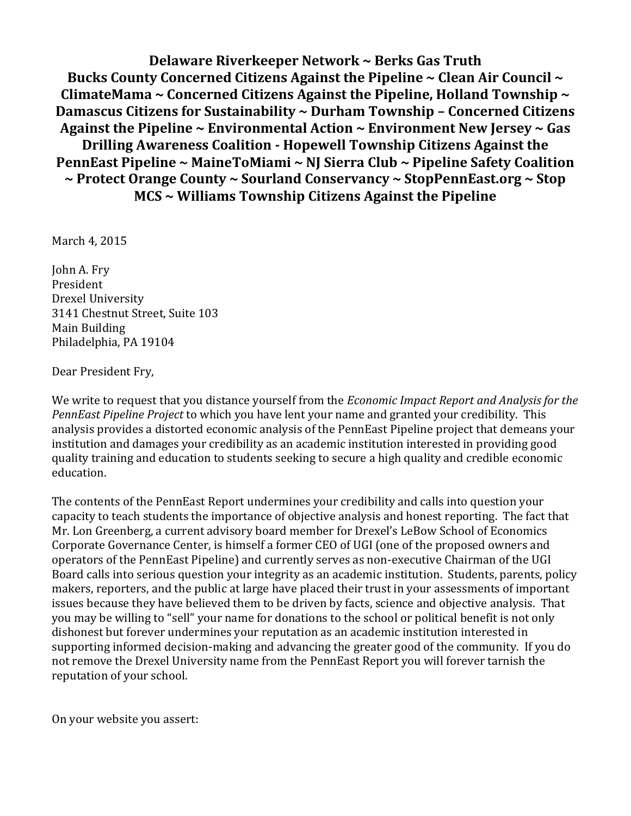**Delaware Riverkeeper Network ~ Berks Gas Truth Bucks County Concerned Citizens Against the Pipeline ~ Clean Air Council ~ ClimateMama ~ Concerned Citizens Against the Pipeline, Holland Township ~ Damascus Citizens for Sustainability ~ Durham Township – Concerned Citizens Against the Pipeline ~ Environmental Action ~ Environment New Jersey ~ Gas Drilling Awareness Coalition - Hopewell Township Citizens Against the PennEast Pipeline ~ MaineToMiami ~ NJ Sierra Club ~ Pipeline Safety Coalition ~ Protect Orange County ~ Sourland Conservancy ~ StopPennEast.org ~ Stop MCS ~ Williams Township Citizens Against the Pipeline**

March 4, 2015

John A. Fry President Drexel University 3141 Chestnut Street, Suite 103 Main Building Philadelphia, PA 19104

Dear President Fry,

We write to request that you distance yourself from the *Economic Impact Report and Analysis for the PennEast Pipeline Project* to which you have lent your name and granted your credibility. This analysis provides a distorted economic analysis of the PennEast Pipeline project that demeans your institution and damages your credibility as an academic institution interested in providing good quality training and education to students seeking to secure a high quality and credible economic education.

The contents of the PennEast Report undermines your credibility and calls into question your capacity to teach students the importance of objective analysis and honest reporting. The fact that Mr. Lon Greenberg, a current advisory board member for Drexel's LeBow School of Economics Corporate Governance Center, is himself a former CEO of UGI (one of the proposed owners and operators of the PennEast Pipeline) and currently serves as non-executive Chairman of the UGI Board calls into serious question your integrity as an academic institution. Students, parents, policy makers, reporters, and the public at large have placed their trust in your assessments of important issues because they have believed them to be driven by facts, science and objective analysis. That you may be willing to "sell" your name for donations to the school or political benefit is not only dishonest but forever undermines your reputation as an academic institution interested in supporting informed decision-making and advancing the greater good of the community. If you do not remove the Drexel University name from the PennEast Report you will forever tarnish the reputation of your school.

On your website you assert: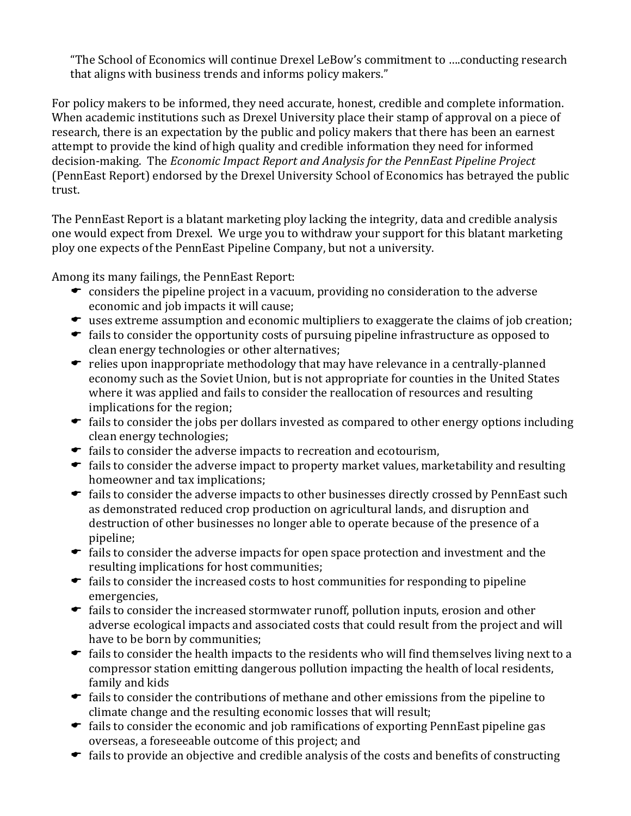"The School of Economics will continue Drexel LeBow's commitment to ….conducting research that aligns with business trends and informs policy makers."

For policy makers to be informed, they need accurate, honest, credible and complete information. When academic institutions such as Drexel University place their stamp of approval on a piece of research, there is an expectation by the public and policy makers that there has been an earnest attempt to provide the kind of high quality and credible information they need for informed decision-making. The *Economic Impact Report and Analysis for the PennEast Pipeline Project* (PennEast Report) endorsed by the Drexel University School of Economics has betrayed the public trust.

The PennEast Report is a blatant marketing ploy lacking the integrity, data and credible analysis one would expect from Drexel. We urge you to withdraw your support for this blatant marketing ploy one expects of the PennEast Pipeline Company, but not a university.

Among its many failings, the PennEast Report:

- $\bullet$  considers the pipeline project in a vacuum, providing no consideration to the adverse economic and job impacts it will cause;
- uses extreme assumption and economic multipliers to exaggerate the claims of job creation;
- $\bullet$  fails to consider the opportunity costs of pursuing pipeline infrastructure as opposed to clean energy technologies or other alternatives;
- $\bullet$  relies upon inappropriate methodology that may have relevance in a centrally-planned economy such as the Soviet Union, but is not appropriate for counties in the United States where it was applied and fails to consider the reallocation of resources and resulting implications for the region;
- $\bullet$  fails to consider the jobs per dollars invested as compared to other energy options including clean energy technologies;
- $\bullet$  fails to consider the adverse impacts to recreation and ecotourism,
- $\bullet$  fails to consider the adverse impact to property market values, marketability and resulting homeowner and tax implications;
- $\bullet$  fails to consider the adverse impacts to other businesses directly crossed by PennEast such as demonstrated reduced crop production on agricultural lands, and disruption and destruction of other businesses no longer able to operate because of the presence of a pipeline;
- $\bullet$  fails to consider the adverse impacts for open space protection and investment and the resulting implications for host communities;
- $\bullet$  fails to consider the increased costs to host communities for responding to pipeline emergencies,
- $\bullet$  fails to consider the increased stormwater runoff, pollution inputs, erosion and other adverse ecological impacts and associated costs that could result from the project and will have to be born by communities;
- $\bullet$  fails to consider the health impacts to the residents who will find themselves living next to a compressor station emitting dangerous pollution impacting the health of local residents, family and kids
- $\bullet$  fails to consider the contributions of methane and other emissions from the pipeline to climate change and the resulting economic losses that will result;
- $\bullet$  fails to consider the economic and job ramifications of exporting PennEast pipeline gas overseas, a foreseeable outcome of this project; and
- $\bullet$  fails to provide an objective and credible analysis of the costs and benefits of constructing